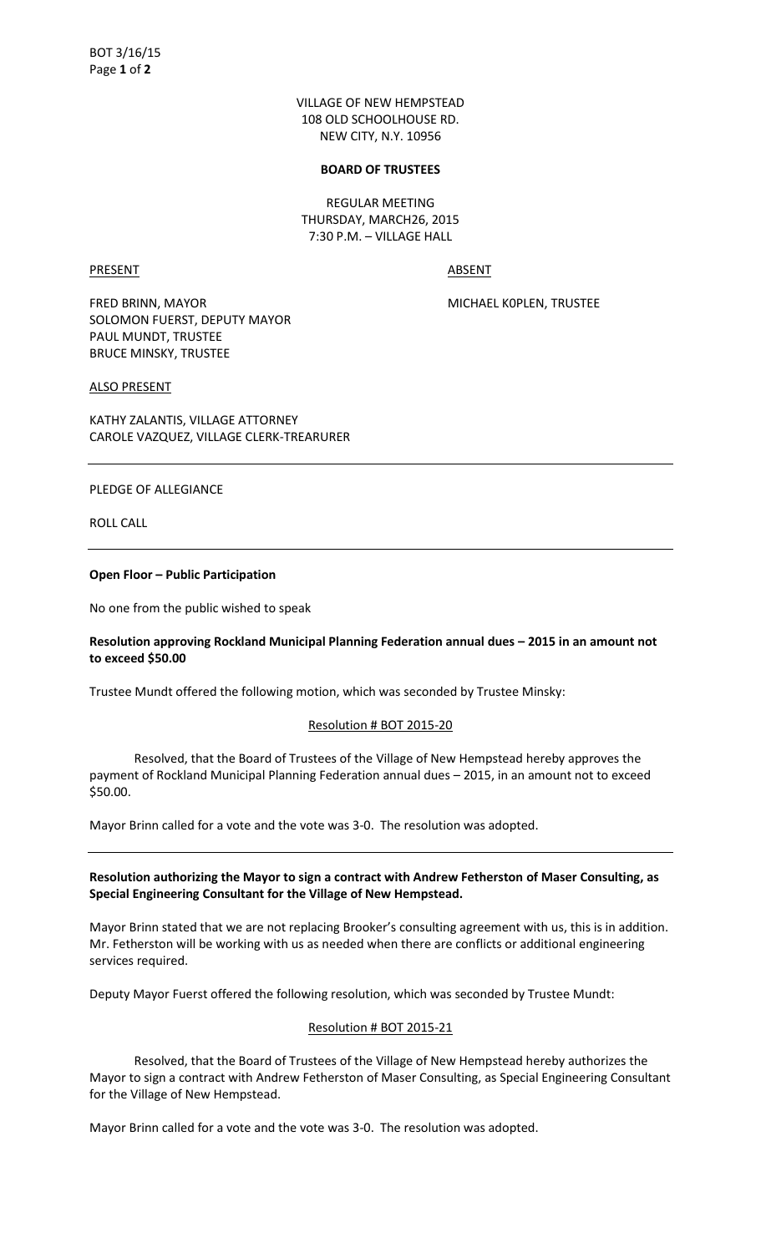VILLAGE OF NEW HEMPSTEAD 108 OLD SCHOOLHOUSE RD. NEW CITY, N.Y. 10956

#### **BOARD OF TRUSTEES**

REGULAR MEETING THURSDAY, MARCH26, 2015 7:30 P.M. – VILLAGE HALL

PRESENT ABSENT

FRED BRINN, MAYOR MICHAEL KOPLEN, TRUSTEE SOLOMON FUERST, DEPUTY MAYOR PAUL MUNDT, TRUSTEE BRUCE MINSKY, TRUSTEE

### ALSO PRESENT

KATHY ZALANTIS, VILLAGE ATTORNEY CAROLE VAZQUEZ, VILLAGE CLERK-TREARURER

### PLEDGE OF ALLEGIANCE

ROLL CALL

#### **Open Floor – Public Participation**

No one from the public wished to speak

# **Resolution approving Rockland Municipal Planning Federation annual dues – 2015 in an amount not to exceed \$50.00**

Trustee Mundt offered the following motion, which was seconded by Trustee Minsky:

# Resolution # BOT 2015-20

 Resolved, that the Board of Trustees of the Village of New Hempstead hereby approves the payment of Rockland Municipal Planning Federation annual dues – 2015, in an amount not to exceed \$50.00.

Mayor Brinn called for a vote and the vote was 3-0. The resolution was adopted.

# **Resolution authorizing the Mayor to sign a contract with Andrew Fetherston of Maser Consulting, as Special Engineering Consultant for the Village of New Hempstead.**

Mayor Brinn stated that we are not replacing Brooker's consulting agreement with us, this is in addition. Mr. Fetherston will be working with us as needed when there are conflicts or additional engineering services required.

Deputy Mayor Fuerst offered the following resolution, which was seconded by Trustee Mundt:

# Resolution # BOT 2015-21

 Resolved, that the Board of Trustees of the Village of New Hempstead hereby authorizes the Mayor to sign a contract with Andrew Fetherston of Maser Consulting, as Special Engineering Consultant for the Village of New Hempstead.

Mayor Brinn called for a vote and the vote was 3-0. The resolution was adopted.